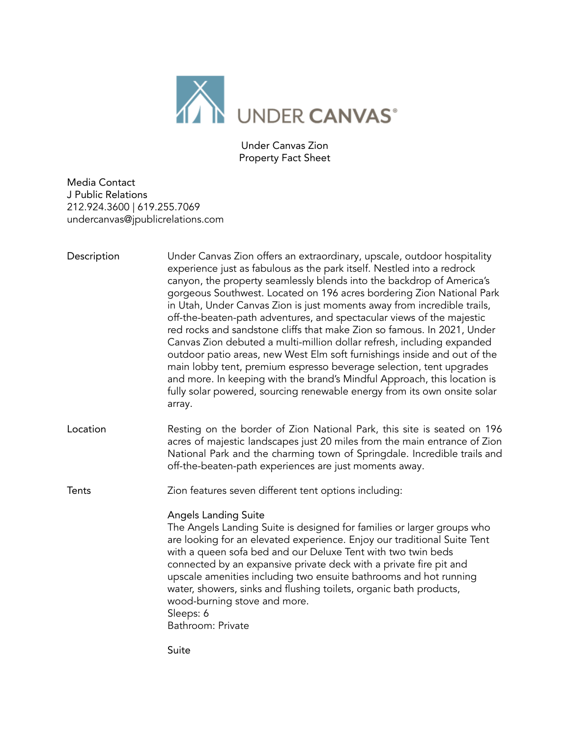

Under Canvas Zion Property Fact Sheet

Media Contact J Public Relations 212.924.3600 | 619.255.7069 undercanvas@jpublicrelations.com

| Description | Under Canvas Zion offers an extraordinary, upscale, outdoor hospitality<br>experience just as fabulous as the park itself. Nestled into a redrock<br>canyon, the property seamlessly blends into the backdrop of America's<br>gorgeous Southwest. Located on 196 acres bordering Zion National Park<br>in Utah, Under Canvas Zion is just moments away from incredible trails,<br>off-the-beaten-path adventures, and spectacular views of the majestic<br>red rocks and sandstone cliffs that make Zion so famous. In 2021, Under<br>Canvas Zion debuted a multi-million dollar refresh, including expanded<br>outdoor patio areas, new West Elm soft furnishings inside and out of the<br>main lobby tent, premium espresso beverage selection, tent upgrades<br>and more. In keeping with the brand's Mindful Approach, this location is<br>fully solar powered, sourcing renewable energy from its own onsite solar<br>array. |
|-------------|-----------------------------------------------------------------------------------------------------------------------------------------------------------------------------------------------------------------------------------------------------------------------------------------------------------------------------------------------------------------------------------------------------------------------------------------------------------------------------------------------------------------------------------------------------------------------------------------------------------------------------------------------------------------------------------------------------------------------------------------------------------------------------------------------------------------------------------------------------------------------------------------------------------------------------------|
| Location    | Resting on the border of Zion National Park, this site is seated on 196<br>acres of majestic landscapes just 20 miles from the main entrance of Zion<br>National Park and the charming town of Springdale. Incredible trails and<br>off-the-beaten-path experiences are just moments away.                                                                                                                                                                                                                                                                                                                                                                                                                                                                                                                                                                                                                                        |
| Tents       | Zion features seven different tent options including:                                                                                                                                                                                                                                                                                                                                                                                                                                                                                                                                                                                                                                                                                                                                                                                                                                                                             |
|             | <b>Angels Landing Suite</b><br>The Angels Landing Suite is designed for families or larger groups who<br>are looking for an elevated experience. Enjoy our traditional Suite Tent<br>with a queen sofa bed and our Deluxe Tent with two twin beds<br>connected by an expansive private deck with a private fire pit and<br>upscale amenities including two ensuite bathrooms and hot running<br>water, showers, sinks and flushing toilets, organic bath products,<br>wood-burning stove and more.<br>Sleeps: 6<br>Bathroom: Private                                                                                                                                                                                                                                                                                                                                                                                              |
|             | Suite                                                                                                                                                                                                                                                                                                                                                                                                                                                                                                                                                                                                                                                                                                                                                                                                                                                                                                                             |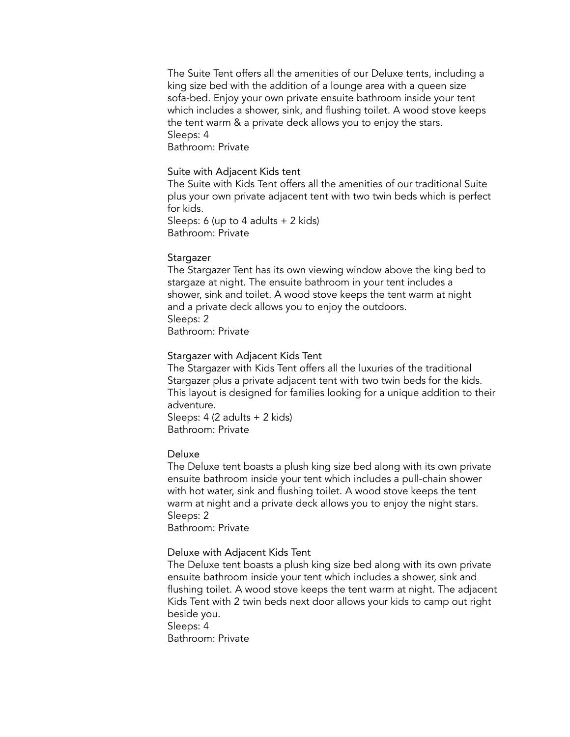The Suite Tent offers all the amenities of our Deluxe tents, including a king size bed with the addition of a lounge area with a queen size sofa-bed. Enjoy your own private ensuite bathroom inside your tent which includes a shower, sink, and flushing toilet. A wood stove keeps the tent warm & a private deck allows you to enjoy the stars. Sleeps: 4

Bathroom: Private

### Suite with Adjacent Kids tent

The Suite with Kids Tent offers all the amenities of our traditional Suite plus your own private adjacent tent with two twin beds which is perfect for kids.

Sleeps: 6 (up to 4 adults + 2 kids) Bathroom: Private

#### Stargazer

The Stargazer Tent has its own viewing window above the king bed to stargaze at night. The ensuite bathroom in your tent includes a shower, sink and toilet. A wood stove keeps the tent warm at night and a private deck allows you to enjoy the outdoors. Sleeps: 2 Bathroom: Private

#### Stargazer with Adjacent Kids Tent

The Stargazer with Kids Tent offers all the luxuries of the traditional Stargazer plus a private adjacent tent with two twin beds for the kids. This layout is designed for families looking for a unique addition to their adventure.

Sleeps: 4 (2 adults + 2 kids) Bathroom: Private

### Deluxe

The Deluxe tent boasts a plush king size bed along with its own private ensuite bathroom inside your tent which includes a pull-chain shower with hot water, sink and flushing toilet. A wood stove keeps the tent warm at night and a private deck allows you to enjoy the night stars. Sleeps: 2

Bathroom: Private

#### Deluxe with Adjacent Kids Tent

The Deluxe tent boasts a plush king size bed along with its own private ensuite bathroom inside your tent which includes a shower, sink and flushing toilet. A wood stove keeps the tent warm at night. The adjacent Kids Tent with 2 twin beds next door allows your kids to camp out right beside you. Sleeps: 4

Bathroom: Private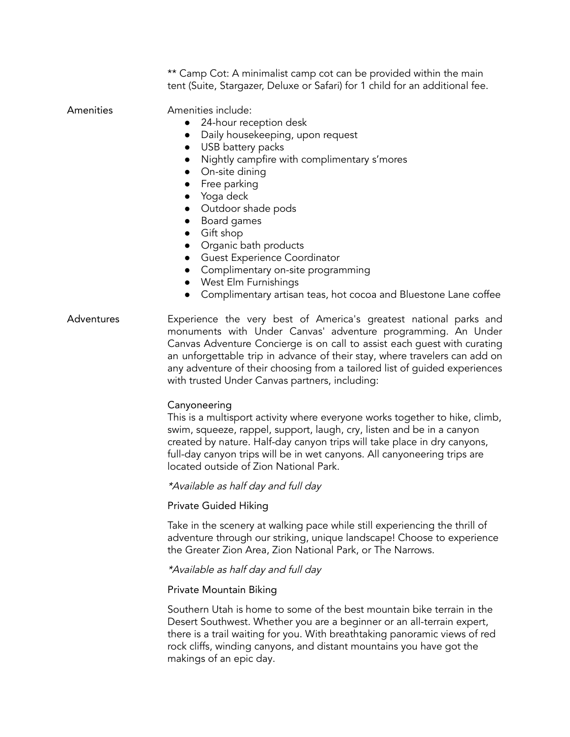\*\* Camp Cot: A minimalist camp cot can be provided within the main tent (Suite, Stargazer, Deluxe or Safari) for 1 child for an additional fee.

Amenities Amenities include:

- 24-hour reception desk
- Daily housekeeping, upon request
- USB battery packs
- Nightly campfire with complimentary s'mores
- On-site dining
- Free parking
- Yoga deck
- Outdoor shade pods
- Board games
- Gift shop
- Organic bath products
- Guest Experience Coordinator
- Complimentary on-site programming
- West Elm Furnishings
- Complimentary artisan teas, hot cocoa and Bluestone Lane coffee
- Adventures Experience the very best of America's greatest national parks and monuments with Under Canvas' adventure programming. An Under Canvas Adventure Concierge is on call to assist each guest with curating an unforgettable trip in advance of their stay, where travelers can add on any adventure of their choosing from a tailored list of guided experiences with trusted Under Canvas partners, including:

### Canyoneering

This is a multisport activity where everyone works together to hike, climb, swim, squeeze, rappel, support, laugh, cry, listen and be in a canyon created by nature. Half-day canyon trips will take place in dry canyons, full-day canyon trips will be in wet canyons. All canyoneering trips are located outside of Zion National Park.

\*Available as half day and full day

### Private Guided Hiking

Take in the scenery at walking pace while still experiencing the thrill of adventure through our striking, unique landscape! Choose to experience the Greater Zion Area, Zion National Park, or The Narrows.

\*Available as half day and full day

### Private Mountain Biking

Southern Utah is home to some of the best mountain bike terrain in the Desert Southwest. Whether you are a beginner or an all-terrain expert, there is a trail waiting for you. With breathtaking panoramic views of red rock cliffs, winding canyons, and distant mountains you have got the makings of an epic day.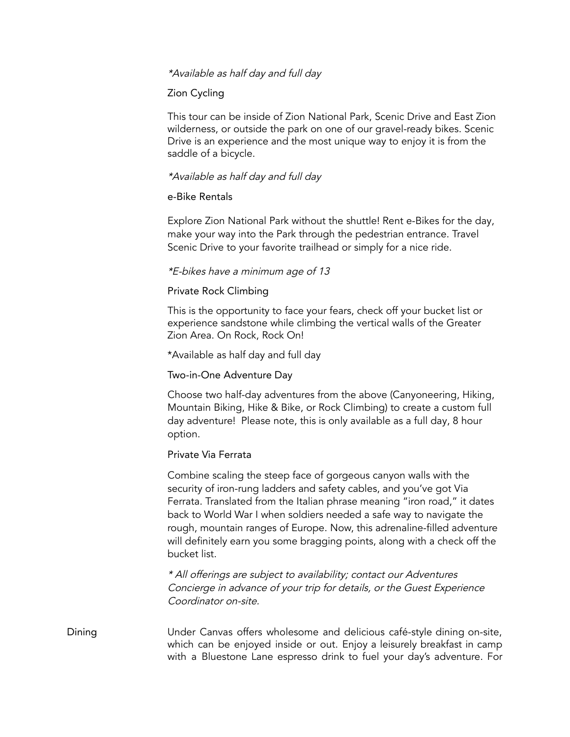### \*Available as half day and full day

## Zion Cycling

This tour can be inside of Zion National Park, Scenic Drive and East Zion wilderness, or outside the park on one of our gravel-ready bikes. Scenic Drive is an experience and the most unique way to enjoy it is from the saddle of a bicycle.

## \*Available as half day and full day

### e-Bike Rentals

Explore Zion National Park without the shuttle! Rent e-Bikes for the day, make your way into the Park through the pedestrian entrance. Travel Scenic Drive to your favorite trailhead or simply for a nice ride.

### \*E-bikes have <sup>a</sup> minimum age of 13

### Private Rock Climbing

This is the opportunity to face your fears, check off your bucket list or experience sandstone while climbing the vertical walls of the Greater Zion Area. On Rock, Rock On!

\*Available as half day and full day

### Two-in-One Adventure Day

Choose two half-day adventures from the above (Canyoneering, Hiking, Mountain Biking, Hike & Bike, or Rock Climbing) to create a custom full day adventure! Please note, this is only available as a full day, 8 hour option.

### Private Via Ferrata

Combine scaling the steep face of gorgeous canyon walls with the security of iron-rung ladders and safety cables, and you've got Via Ferrata. Translated from the Italian phrase meaning "iron road," it dates back to World War I when soldiers needed a safe way to navigate the rough, mountain ranges of Europe. Now, this adrenaline-filled adventure will definitely earn you some bragging points, along with a check off the bucket list.

\* All offerings are subject to availability; contact our Adventures Concierge in advance of your trip for details, or the Guest Experience Coordinator on-site.

Dining Under Canvas offers wholesome and delicious café-style dining on-site, which can be enjoyed inside or out. Enjoy a leisurely breakfast in camp with a Bluestone Lane espresso drink to fuel your day's adventure. For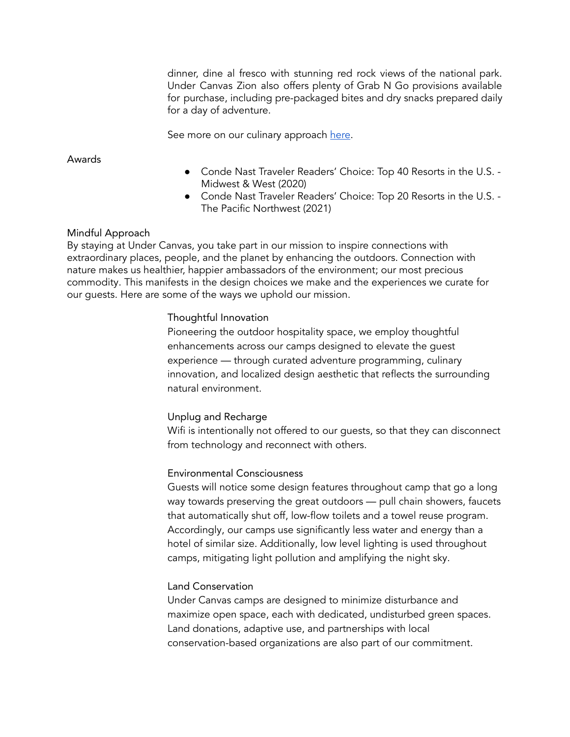dinner, dine al fresco with stunning red rock views of the national park. Under Canvas Zion also offers plenty of Grab N Go provisions available for purchase, including pre-packaged bites and dry snacks prepared daily for a day of adventure.

See more on our culinary approach [here](https://www.undercanvas.com/culinary/).

Awards

- Conde Nast Traveler Readers' Choice: Top 40 Resorts in the U.S. -Midwest & West (2020)
- Conde Nast Traveler Readers' Choice: Top 20 Resorts in the U.S. The Pacific Northwest (2021)

# Mindful Approach

By staying at Under Canvas, you take part in our mission to inspire connections with extraordinary places, people, and the planet by enhancing the outdoors. Connection with nature makes us healthier, happier ambassadors of the environment; our most precious commodity. This manifests in the design choices we make and the experiences we curate for our guests. Here are some of the ways we uphold our mission.

# Thoughtful Innovation

Pioneering the outdoor hospitality space, we employ thoughtful enhancements across our camps designed to elevate the guest experience — through curated adventure programming, culinary innovation, and localized design aesthetic that reflects the surrounding natural environment.

# Unplug and Recharge

Wifi is intentionally not offered to our guests, so that they can disconnect from technology and reconnect with others.

# Environmental Consciousness

Guests will notice some design features throughout camp that go a long way towards preserving the great outdoors — pull chain showers, faucets that automatically shut off, low-flow toilets and a towel reuse program. Accordingly, our camps use significantly less water and energy than a hotel of similar size. Additionally, low level lighting is used throughout camps, mitigating light pollution and amplifying the night sky.

# Land Conservation

Under Canvas camps are designed to minimize disturbance and maximize open space, each with dedicated, undisturbed green spaces. Land donations, adaptive use, and partnerships with local conservation-based organizations are also part of our commitment.